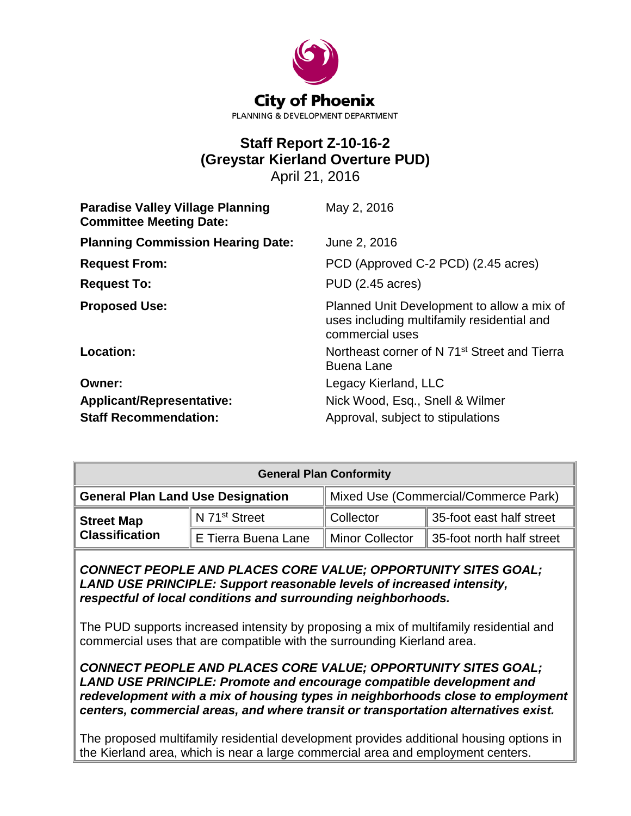

# **Staff Report Z-10-16-2 (Greystar Kierland Overture PUD)** April 21, 2016

| <b>Paradise Valley Village Planning</b><br><b>Committee Meeting Date:</b> | May 2, 2016                                                                                                 |
|---------------------------------------------------------------------------|-------------------------------------------------------------------------------------------------------------|
| <b>Planning Commission Hearing Date:</b>                                  | June 2, 2016                                                                                                |
| <b>Request From:</b>                                                      | PCD (Approved C-2 PCD) (2.45 acres)                                                                         |
| <b>Request To:</b>                                                        | PUD (2.45 acres)                                                                                            |
| <b>Proposed Use:</b>                                                      | Planned Unit Development to allow a mix of<br>uses including multifamily residential and<br>commercial uses |
| Location:                                                                 | Northeast corner of N 71 <sup>st</sup> Street and Tierra<br><b>Buena Lane</b>                               |
| Owner:                                                                    | Legacy Kierland, LLC                                                                                        |
| <b>Applicant/Representative:</b>                                          | Nick Wood, Esq., Snell & Wilmer                                                                             |
| <b>Staff Recommendation:</b>                                              | Approval, subject to stipulations                                                                           |

| <b>General Plan Conformity</b>             |                            |                                      |                           |  |
|--------------------------------------------|----------------------------|--------------------------------------|---------------------------|--|
| <b>General Plan Land Use Designation</b>   |                            | Mixed Use (Commercial/Commerce Park) |                           |  |
| <b>Street Map</b><br><b>Classification</b> | ∥N 71 <sup>st</sup> Street | <b>Collector</b>                     | 35-foot east half street  |  |
|                                            | E Tierra Buena Lane        | Minor Collector                      | 35-foot north half street |  |

*CONNECT PEOPLE AND PLACES CORE VALUE; OPPORTUNITY SITES GOAL; LAND USE PRINCIPLE: Support reasonable levels of increased intensity, respectful of local conditions and surrounding neighborhoods.*

The PUD supports increased intensity by proposing a mix of multifamily residential and commercial uses that are compatible with the surrounding Kierland area.

*CONNECT PEOPLE AND PLACES CORE VALUE; OPPORTUNITY SITES GOAL; LAND USE PRINCIPLE: Promote and encourage compatible development and redevelopment with a mix of housing types in neighborhoods close to employment centers, commercial areas, and where transit or transportation alternatives exist.*

The proposed multifamily residential development provides additional housing options in the Kierland area, which is near a large commercial area and employment centers.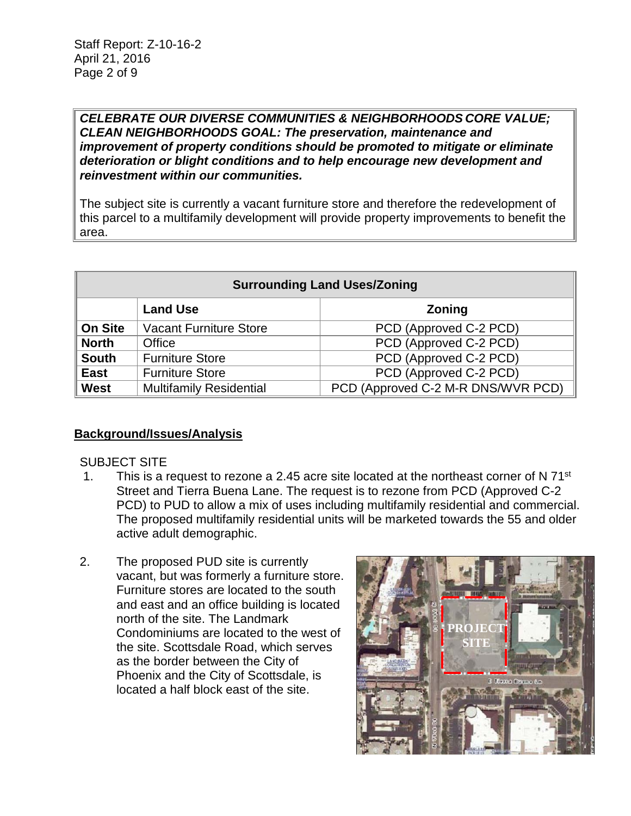#### *CELEBRATE OUR DIVERSE COMMUNITIES & NEIGHBORHOODS CORE VALUE; CLEAN NEIGHBORHOODS GOAL: The preservation, maintenance and improvement of property conditions should be promoted to mitigate or eliminate deterioration or blight conditions and to help encourage new development and reinvestment within our communities.*

The subject site is currently a vacant furniture store and therefore the redevelopment of this parcel to a multifamily development will provide property improvements to benefit the area.

| <b>Surrounding Land Uses/Zoning</b> |                                |                                    |
|-------------------------------------|--------------------------------|------------------------------------|
|                                     | <b>Land Use</b>                | <b>Zoning</b>                      |
| <b>On Site</b>                      | <b>Vacant Furniture Store</b>  | PCD (Approved C-2 PCD)             |
| <b>North</b>                        | Office                         | PCD (Approved C-2 PCD)             |
| <b>South</b>                        | <b>Furniture Store</b>         | PCD (Approved C-2 PCD)             |
| <b>East</b>                         | <b>Furniture Store</b>         | PCD (Approved C-2 PCD)             |
| West                                | <b>Multifamily Residential</b> | PCD (Approved C-2 M-R DNS/WVR PCD) |

## **Background/Issues/Analysis**

#### SUBJECT SITE

- 1. This is a request to rezone a 2.45 acre site located at the northeast corner of N  $71^{st}$ Street and Tierra Buena Lane. The request is to rezone from PCD (Approved C-2 PCD) to PUD to allow a mix of uses including multifamily residential and commercial. The proposed multifamily residential units will be marketed towards the 55 and older active adult demographic.
- 2. The proposed PUD site is currently vacant, but was formerly a furniture store. Furniture stores are located to the south and east and an office building is located north of the site. The Landmark Condominiums are located to the west of the site. Scottsdale Road, which serves as the border between the City of Phoenix and the City of Scottsdale, is located a half block east of the site.

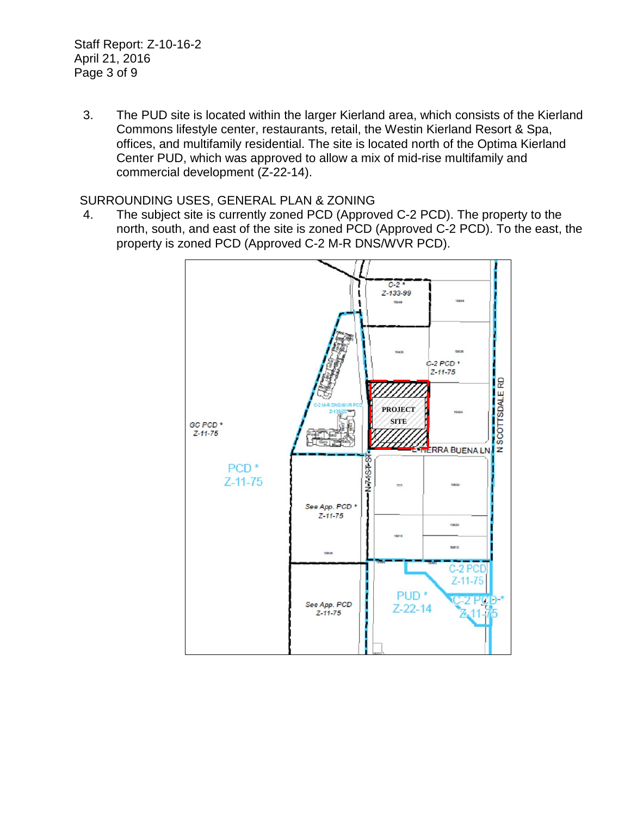Staff Report: Z-10-16-2 April 21, 2016 Page 3 of 9

3. The PUD site is located within the larger Kierland area, which consists of the Kierland Commons lifestyle center, restaurants, retail, the Westin Kierland Resort & Spa, offices, and multifamily residential. The site is located north of the Optima Kierland Center PUD, which was approved to allow a mix of mid-rise multifamily and commercial development (Z-22-14).

### SURROUNDING USES, GENERAL PLAN & ZONING

4. The subject site is currently zoned PCD (Approved C-2 PCD). The property to the north, south, and east of the site is zoned PCD (Approved C-2 PCD). To the east, the property is zoned PCD (Approved C-2 M-R DNS/WVR PCD).

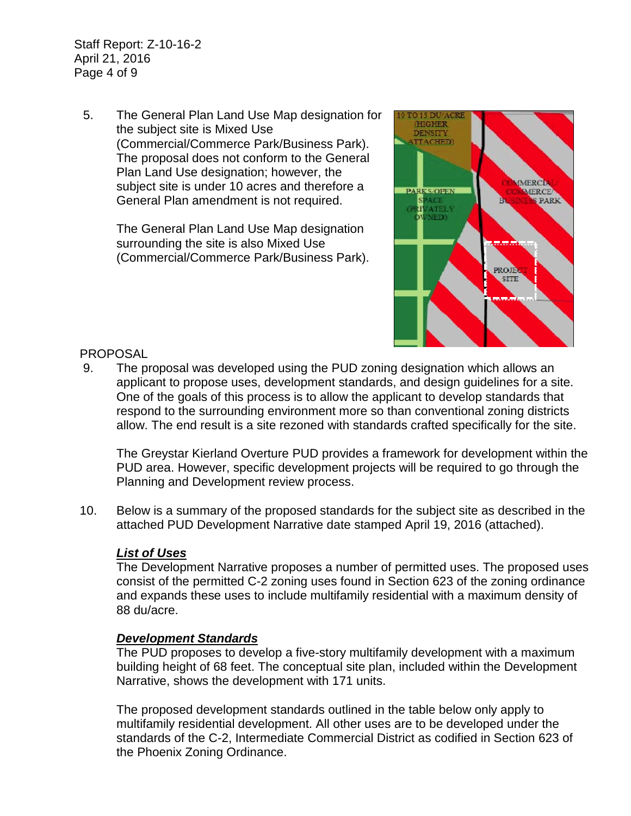Staff Report: Z-10-16-2 April 21, 2016 Page 4 of 9

5. The General Plan Land Use Map designation for the subject site is Mixed Use (Commercial/Commerce Park/Business Park). The proposal does not conform to the General Plan Land Use designation; however, the subject site is under 10 acres and therefore a General Plan amendment is not required.

> The General Plan Land Use Map designation surrounding the site is also Mixed Use (Commercial/Commerce Park/Business Park).



#### PROPOSAL

9. The proposal was developed using the PUD zoning designation which allows an applicant to propose uses, development standards, and design guidelines for a site. One of the goals of this process is to allow the applicant to develop standards that respond to the surrounding environment more so than conventional zoning districts allow. The end result is a site rezoned with standards crafted specifically for the site.

The Greystar Kierland Overture PUD provides a framework for development within the PUD area. However, specific development projects will be required to go through the Planning and Development review process.

10. Below is a summary of the proposed standards for the subject site as described in the attached PUD Development Narrative date stamped April 19, 2016 (attached).

#### *List of Uses*

The Development Narrative proposes a number of permitted uses. The proposed uses consist of the permitted C-2 zoning uses found in Section 623 of the zoning ordinance and expands these uses to include multifamily residential with a maximum density of 88 du/acre.

#### *Development Standards*

The PUD proposes to develop a five-story multifamily development with a maximum building height of 68 feet. The conceptual site plan, included within the Development Narrative, shows the development with 171 units.

The proposed development standards outlined in the table below only apply to multifamily residential development. All other uses are to be developed under the standards of the C-2, Intermediate Commercial District as codified in Section 623 of the Phoenix Zoning Ordinance.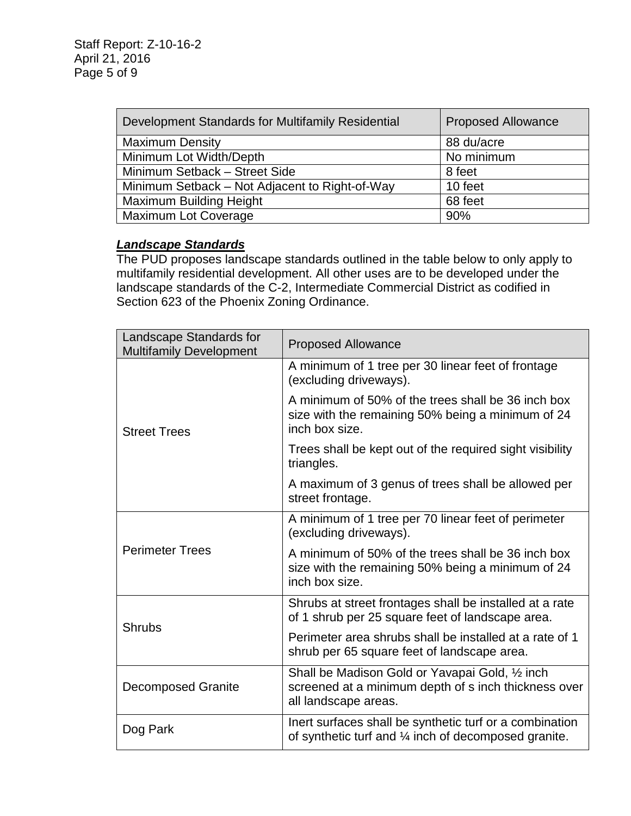| Development Standards for Multifamily Residential | <b>Proposed Allowance</b> |
|---------------------------------------------------|---------------------------|
| <b>Maximum Density</b>                            | 88 du/acre                |
| Minimum Lot Width/Depth                           | No minimum                |
| Minimum Setback - Street Side                     | 8 feet                    |
| Minimum Setback – Not Adjacent to Right-of-Way    | 10 feet                   |
| <b>Maximum Building Height</b>                    | 68 feet                   |
| <b>Maximum Lot Coverage</b>                       | 90%                       |

#### *Landscape Standards*

The PUD proposes landscape standards outlined in the table below to only apply to multifamily residential development. All other uses are to be developed under the landscape standards of the C-2, Intermediate Commercial District as codified in Section 623 of the Phoenix Zoning Ordinance.

| Landscape Standards for<br><b>Multifamily Development</b> | <b>Proposed Allowance</b>                                                                                                       |
|-----------------------------------------------------------|---------------------------------------------------------------------------------------------------------------------------------|
| <b>Street Trees</b>                                       | A minimum of 1 tree per 30 linear feet of frontage<br>(excluding driveways).                                                    |
|                                                           | A minimum of 50% of the trees shall be 36 inch box<br>size with the remaining 50% being a minimum of 24<br>inch box size.       |
|                                                           | Trees shall be kept out of the required sight visibility<br>triangles.                                                          |
|                                                           | A maximum of 3 genus of trees shall be allowed per<br>street frontage.                                                          |
| <b>Perimeter Trees</b>                                    | A minimum of 1 tree per 70 linear feet of perimeter<br>(excluding driveways).                                                   |
|                                                           | A minimum of 50% of the trees shall be 36 inch box<br>size with the remaining 50% being a minimum of 24<br>inch box size.       |
| <b>Shrubs</b>                                             | Shrubs at street frontages shall be installed at a rate<br>of 1 shrub per 25 square feet of landscape area.                     |
|                                                           | Perimeter area shrubs shall be installed at a rate of 1<br>shrub per 65 square feet of landscape area.                          |
| <b>Decomposed Granite</b>                                 | Shall be Madison Gold or Yavapai Gold, 1/2 inch<br>screened at a minimum depth of s inch thickness over<br>all landscape areas. |
| Dog Park                                                  | Inert surfaces shall be synthetic turf or a combination<br>of synthetic turf and 1/4 inch of decomposed granite.                |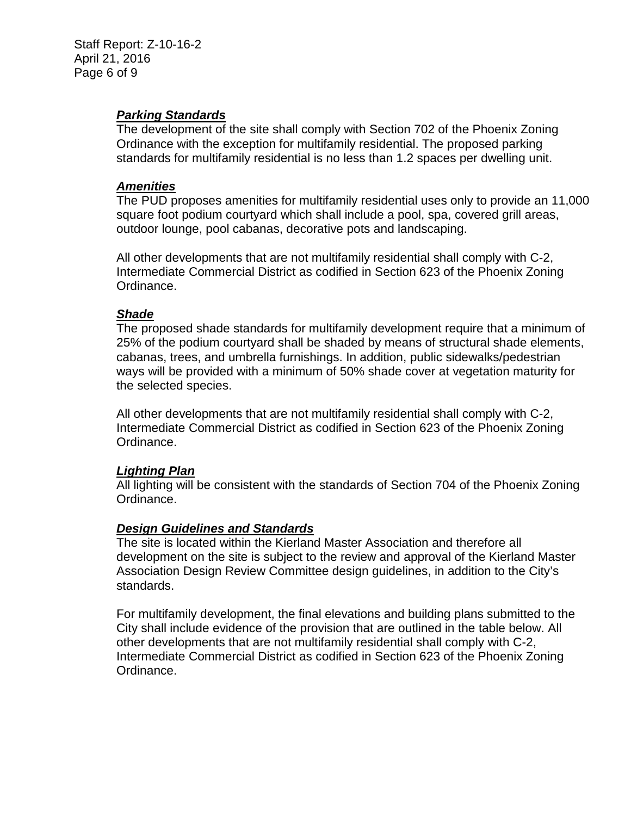### *Parking Standards*

The development of the site shall comply with Section 702 of the Phoenix Zoning Ordinance with the exception for multifamily residential. The proposed parking standards for multifamily residential is no less than 1.2 spaces per dwelling unit.

#### *Amenities*

The PUD proposes amenities for multifamily residential uses only to provide an 11,000 square foot podium courtyard which shall include a pool, spa, covered grill areas, outdoor lounge, pool cabanas, decorative pots and landscaping.

All other developments that are not multifamily residential shall comply with C-2, Intermediate Commercial District as codified in Section 623 of the Phoenix Zoning Ordinance.

### *Shade*

The proposed shade standards for multifamily development require that a minimum of 25% of the podium courtyard shall be shaded by means of structural shade elements, cabanas, trees, and umbrella furnishings. In addition, public sidewalks/pedestrian ways will be provided with a minimum of 50% shade cover at vegetation maturity for the selected species.

All other developments that are not multifamily residential shall comply with C-2, Intermediate Commercial District as codified in Section 623 of the Phoenix Zoning Ordinance.

#### *Lighting Plan*

All lighting will be consistent with the standards of Section 704 of the Phoenix Zoning Ordinance.

#### *Design Guidelines and Standards*

The site is located within the Kierland Master Association and therefore all development on the site is subject to the review and approval of the Kierland Master Association Design Review Committee design guidelines, in addition to the City's standards.

For multifamily development, the final elevations and building plans submitted to the City shall include evidence of the provision that are outlined in the table below. All other developments that are not multifamily residential shall comply with C-2, Intermediate Commercial District as codified in Section 623 of the Phoenix Zoning Ordinance.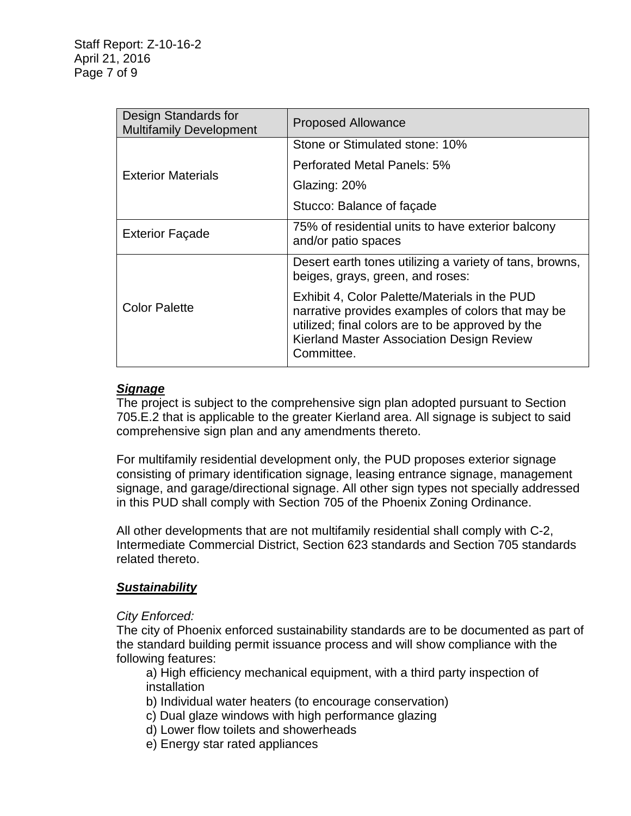| Design Standards for<br><b>Multifamily Development</b> | <b>Proposed Allowance</b>                                                                                                                                                                                         |
|--------------------------------------------------------|-------------------------------------------------------------------------------------------------------------------------------------------------------------------------------------------------------------------|
| <b>Exterior Materials</b>                              | Stone or Stimulated stone: 10%                                                                                                                                                                                    |
|                                                        | Perforated Metal Panels: 5%                                                                                                                                                                                       |
|                                                        | Glazing: 20%                                                                                                                                                                                                      |
|                                                        | Stucco: Balance of façade                                                                                                                                                                                         |
| <b>Exterior Façade</b>                                 | 75% of residential units to have exterior balcony<br>and/or patio spaces                                                                                                                                          |
| <b>Color Palette</b>                                   | Desert earth tones utilizing a variety of tans, browns,<br>beiges, grays, green, and roses:                                                                                                                       |
|                                                        | Exhibit 4, Color Palette/Materials in the PUD<br>narrative provides examples of colors that may be<br>utilized; final colors are to be approved by the<br>Kierland Master Association Design Review<br>Committee. |

### *Signage*

The project is subject to the comprehensive sign plan adopted pursuant to Section 705.E.2 that is applicable to the greater Kierland area. All signage is subject to said comprehensive sign plan and any amendments thereto.

For multifamily residential development only, the PUD proposes exterior signage consisting of primary identification signage, leasing entrance signage, management signage, and garage/directional signage. All other sign types not specially addressed in this PUD shall comply with Section 705 of the Phoenix Zoning Ordinance.

All other developments that are not multifamily residential shall comply with C-2, Intermediate Commercial District, Section 623 standards and Section 705 standards related thereto.

#### *Sustainability*

#### *City Enforced:*

The city of Phoenix enforced sustainability standards are to be documented as part of the standard building permit issuance process and will show compliance with the following features:

a) High efficiency mechanical equipment, with a third party inspection of installation

- b) Individual water heaters (to encourage conservation)
- c) Dual glaze windows with high performance glazing
- d) Lower flow toilets and showerheads
- e) Energy star rated appliances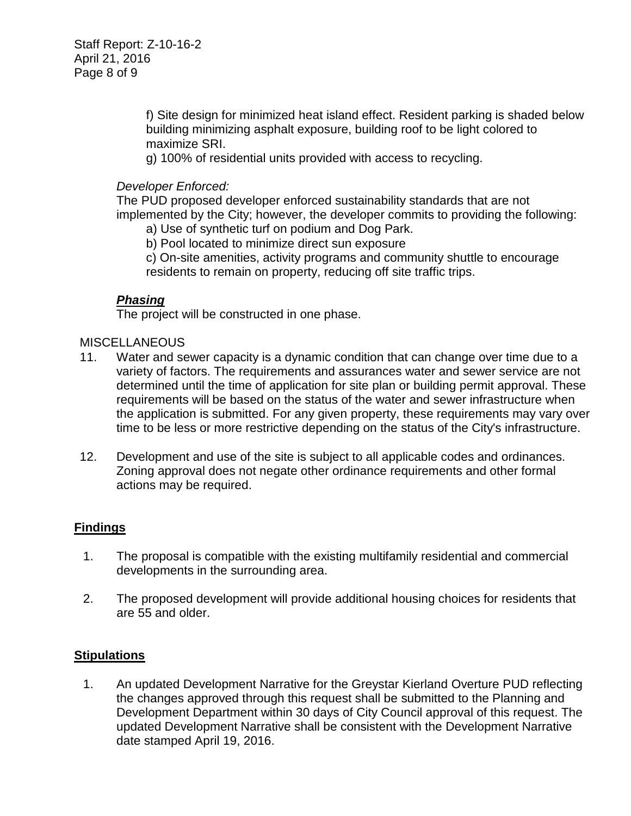f) Site design for minimized heat island effect. Resident parking is shaded below building minimizing asphalt exposure, building roof to be light colored to maximize SRI.

g) 100% of residential units provided with access to recycling.

### *Developer Enforced:*

The PUD proposed developer enforced sustainability standards that are not implemented by the City; however, the developer commits to providing the following:

- a) Use of synthetic turf on podium and Dog Park.
- b) Pool located to minimize direct sun exposure

c) On-site amenities, activity programs and community shuttle to encourage residents to remain on property, reducing off site traffic trips.

## *Phasing*

The project will be constructed in one phase.

#### MISCELLANEOUS

- 11. Water and sewer capacity is a dynamic condition that can change over time due to a variety of factors. The requirements and assurances water and sewer service are not determined until the time of application for site plan or building permit approval. These requirements will be based on the status of the water and sewer infrastructure when the application is submitted. For any given property, these requirements may vary over time to be less or more restrictive depending on the status of the City's infrastructure.
- 12. Development and use of the site is subject to all applicable codes and ordinances. Zoning approval does not negate other ordinance requirements and other formal actions may be required.

## **Findings**

- 1. The proposal is compatible with the existing multifamily residential and commercial developments in the surrounding area.
- 2. The proposed development will provide additional housing choices for residents that are 55 and older.

#### **Stipulations**

1. An updated Development Narrative for the Greystar Kierland Overture PUD reflecting the changes approved through this request shall be submitted to the Planning and Development Department within 30 days of City Council approval of this request. The updated Development Narrative shall be consistent with the Development Narrative date stamped April 19, 2016.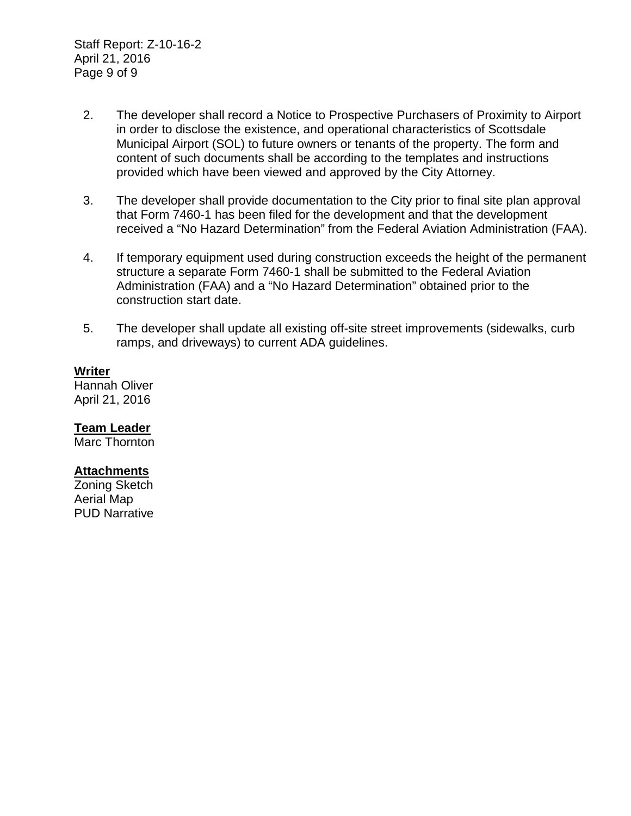- 2. The developer shall record a Notice to Prospective Purchasers of Proximity to Airport in order to disclose the existence, and operational characteristics of Scottsdale Municipal Airport (SOL) to future owners or tenants of the property. The form and content of such documents shall be according to the templates and instructions provided which have been viewed and approved by the City Attorney.
- 3. The developer shall provide documentation to the City prior to final site plan approval that Form 7460-1 has been filed for the development and that the development received a "No Hazard Determination" from the Federal Aviation Administration (FAA).
- 4. If temporary equipment used during construction exceeds the height of the permanent structure a separate Form 7460-1 shall be submitted to the Federal Aviation Administration (FAA) and a "No Hazard Determination" obtained prior to the construction start date.
- 5. The developer shall update all existing off-site street improvements (sidewalks, curb ramps, and driveways) to current ADA guidelines.

#### **Writer**

Hannah Oliver April 21, 2016

**Team Leader**

Marc Thornton

### **Attachments**

Zoning Sketch Aerial Map PUD Narrative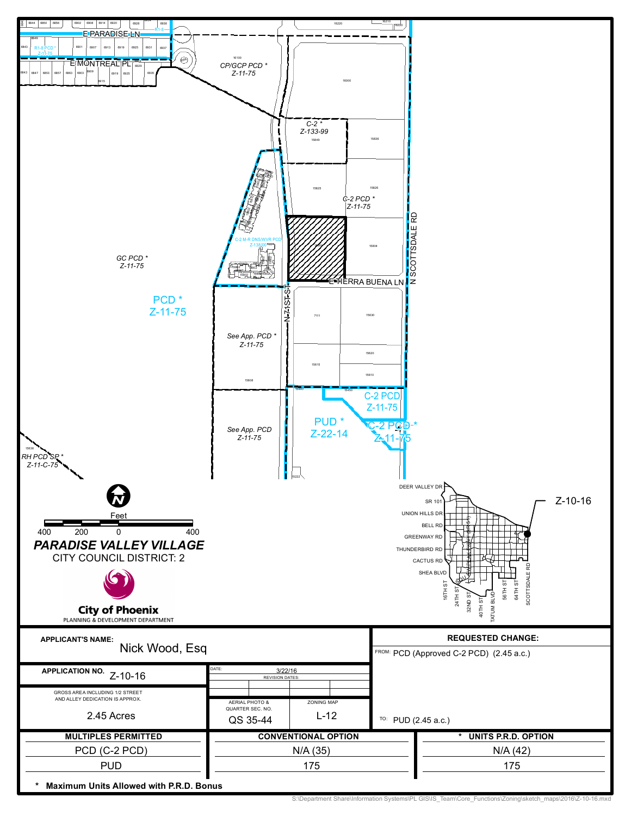